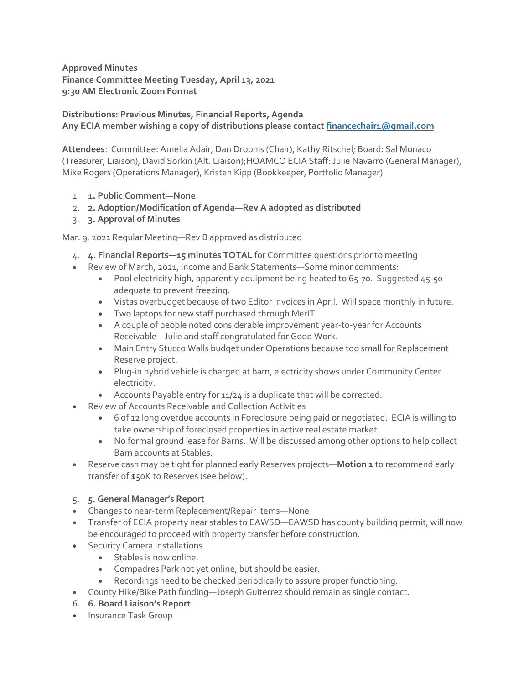**Approved Minutes Finance Committee Meeting Tuesday, April 13, 2021 9:30 AM Electronic Zoom Format**

## **Distributions: Previous Minutes, Financial Reports, Agenda Any ECIA member wishing a copy of distributions please contact [financechair1@gmail.com](mailto:financechair1@gmail.com)**

**Attendees**: Committee: Amelia Adair, Dan Drobnis (Chair), Kathy Ritschel; Board: Sal Monaco (Treasurer, Liaison), David Sorkin (Alt. Liaison);HOAMCO ECIA Staff: Julie Navarro (General Manager), Mike Rogers (Operations Manager), Kristen Kipp (Bookkeeper, Portfolio Manager)

- 1. **1. Public Comment—None**
- 2. **2. Adoption/Modification of Agenda—Rev A adopted as distributed**
- 3. **3. Approval of Minutes**

Mar. 9, 2021 Regular Meeting—Rev B approved as distributed

- 4. **4. Financial Reports—15 minutes TOTAL** for Committee questions prior to meeting
- Review of March, 2021, Income and Bank Statements—Some minor comments:
	- Pool electricity high, apparently equipment being heated to 65-70. Suggested 45-50 adequate to prevent freezing.
	- Vistas overbudget because of two Editor invoices in April. Will space monthly in future.
	- Two laptops for new staff purchased through MerIT.
	- A couple of people noted considerable improvement year-to-year for Accounts Receivable—Julie and staff congratulated for Good Work.
	- Main Entry Stucco Walls budget under Operations because too small for Replacement Reserve project.
	- Plug-in hybrid vehicle is charged at barn, electricity shows under Community Center electricity.
	- Accounts Payable entry for 11/24 is a duplicate that will be corrected.
- Review of Accounts Receivable and Collection Activities
	- 6 of 12 long overdue accounts in Foreclosure being paid or negotiated. ECIA is willing to take ownership of foreclosed properties in active real estate market.
	- No formal ground lease for Barns. Will be discussed among other options to help collect Barn accounts at Stables.
- Reserve cash may be tight for planned early Reserves projects—**Motion 1** to recommend early transfer of \$50K to Reserves (see below).

## 5. **5. General Manager's Report**

- Changes to near-term Replacement/Repair items—None
- Transfer of ECIA property near stables to EAWSD—EAWSD has county building permit, will now be encouraged to proceed with property transfer before construction.
- **•** Security Camera Installations
	- Stables is now online.
	- Compadres Park not yet online, but should be easier.
	- Recordings need to be checked periodically to assure proper functioning.
- County Hike/Bike Path funding—Joseph Guiterrez should remain as single contact.
- 6. **6. Board Liaison's Report**
- Insurance Task Group